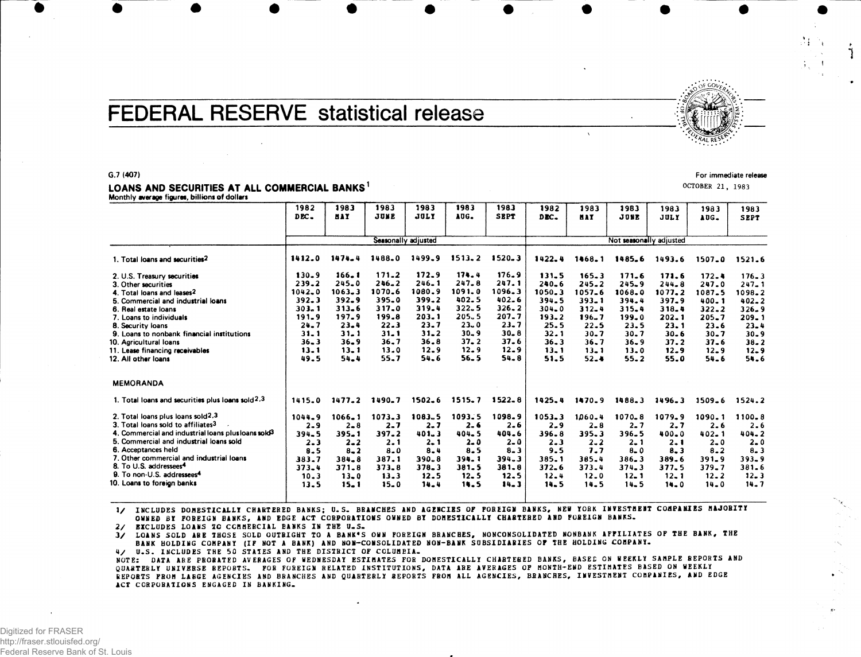# FEDERAL RESERVE statistical release

### G.7 (407)

#### LOANS AND SECURITIES AT ALL COMMERCIAL BANKS<sup>1</sup> Monthly average figures, billions of dollars

|                                                                 | 1982<br>DEC.          | 1983<br><b>HAY</b> | 1983<br>JUNE      | 1983<br><b>JULY</b> | 1983<br>AUG.      | 1983<br><b>SEPT</b> | 1982<br>DEC.      | 1983<br><b>HAY</b>      | 1983<br>JUNE  | 1983<br>JULY     | 1983<br>AUG.         | 1983<br><b>SEPT</b>  |  |  |
|-----------------------------------------------------------------|-----------------------|--------------------|-------------------|---------------------|-------------------|---------------------|-------------------|-------------------------|---------------|------------------|----------------------|----------------------|--|--|
|                                                                 | Seasonally adjusted   |                    |                   |                     |                   |                     |                   | Not seasonally adjusted |               |                  |                      |                      |  |  |
| 1. Total loans and securities <sup>2</sup>                      | 1412.0                | $1474 - 4$         | 1488.0            | 1499.9              | $1513 - 2$        | $1520 - 3$          | 1422.4            | 1468.1                  | 1485.6        | 1493.6           | $1507 - 0$           | 1521.6               |  |  |
| 2. U.S. Treasury securities                                     | $130 - 9$             | 166.1              | $171 - 2$         | 172.9               | 174.4             | 176.9               | 131.5             | 165.3                   | 171.6         | 171.6            | 172.4                | $176 - 3$            |  |  |
| 3. Other securities                                             | 239.2                 | $245 - 0$          | $246 - 2$         | $246 - 1$           | 247.8             | 247.1               | $240 - 6$         | 245.2                   | $245 - 9$     | $244 - 8$        | 247.0                | $247 - 1$            |  |  |
| 4. Total loans and leases <sup>2</sup>                          | $1042 - 0$            | 1063.3             | 1070.6            | 1080.9              | 1091.0            | 1096.3              | 1050.3            | 1057.6                  | 1068.0        | 1077.2           | 1087.5               | 1098.2               |  |  |
| 5. Commercial and industrial loans                              | 392.3                 | 392.9              | 395.0             | 399.2               | 402.5             | $402 - 6$           | 394.5             | $393 - 1$               | 394.4         | 397.9            | 400.1                | $402 - 2$            |  |  |
| 6. Real estate loans                                            | 303.1                 | $313 - 6$          | 317.0             | 319.4               | 322.5             | $326 - 2$           | $304 - 0$         | $312 - 4$               | 315.4         | 318.4            | $322 - 2$            | $326 - 9$            |  |  |
| 7. Loans to individuals                                         | $191 - 9$<br>$24 - 7$ | 197.9<br>$23 - 4$  | 199.8<br>$22 - 3$ | 203.1<br>$23 - 7$   | 205.5<br>$23 - 0$ | 207.7<br>$23 - 7$   | $193 - 2$<br>25.5 | $196 - 7$<br>$22 - 5$   | 199.0<br>23.5 | $202 - 1$        | $205 - 7$            | 209.1                |  |  |
| 8. Security loans<br>9. Loans to nonbank financial institutions | $31 - 1$              | $31 - 1$           | $31 - 1$          | $31 - 2$            | $30 - 9$          | $30 - 8$            | 32.1              | $30 - 7$                | 30.7          | 23.1<br>$30 - 6$ | $23 - 6$<br>$30 - 7$ | $23 - 4$             |  |  |
| 10. Agricultural loans                                          | $36 - 3$              | $36 - 9$           | $36 - 7$          | 36.8                | $37 - 2$          | $37 - 6$            | $36 - 3$          | 36.7                    | $36 - 9$      | 37.2             | $37 - 6$             | $30 - 9$<br>$38 - 2$ |  |  |
| 11. Lease financing receivables                                 | 13.1                  | $13 - 1$           | $13 - 0$          | $12 - 9$            | 12.9              | $12 - 9$            | $13 - 1$          | $13 - 1$                | $13 - 0$      | $12 - 9$         | $12 - 9$             | $12 - 9$             |  |  |
| 12. All other loans                                             | 49.5                  | 54.4               | 55.7              | 54.6                | 56.5              | 54.8                | 51.5              | $52 - 4$                | $55 - 2$      | 55.0             | 54.6                 | 54.6                 |  |  |
| <b>MEMORANDA</b>                                                |                       |                    |                   |                     |                   |                     |                   |                         |               |                  |                      |                      |  |  |
| 1. Total loans and securities plus loans sold $2,3$             | 1415.0                | 1477.2             | 1490.7            | $1502 - 6$          | 1515.7            | $1522 - 8$          | 1425.4            | 1470.9                  | 1488.3        | 1496.3           | 1509.6               | 1524.2               |  |  |
| 2. Total loans plus loans sold <sup>2,3</sup>                   | 1044.9                | $1066 - 1$         | 1073.3            | 1083.5              | 1093.5            | 1098.9              | $1053 - 3$        | 1060.4                  | $1070 - 8$    | 1079.9           | 1090.1               | 1100.8               |  |  |
| 3. Total loans sold to affiliates <sup>3</sup>                  | $2 - 9$               | $2 - 8$            | $2 - 7$           | $2 - 7$             | 2.6               | $2 - 6$             | $2 - 9$           | $2 - 8$                 | $2 - 7$       | $2 - 7$          | 2.6                  | 2.6                  |  |  |
| 4. Commercial and industrial loans plus loans sold <sup>3</sup> | 394.5                 | 395.1              | 397.2             | 401.3               | 404.5             | 404.6               | $396 - 8$         | 395.3                   | $396 - 5$     | 400.0            | $402 - 1$            | 404.2                |  |  |
| 5. Commercial and industrial loans sold                         | $2 - 3$               | $2 - 2$            | 2.1               | $2 - 1$             | $2 - 0$           | $2 - 0$             | $2 - 3$           | $2 - 2$                 | $2 - 1$       | 2.1              | $2 - 0$              | $2 - 0$              |  |  |
| 6. Acceptances held                                             | $8 - 5$               | $8 - 2$            | $8 - 0$           | $8 - 4$             | 8.5               | $8 - 3$             | 9.5               | 7.7                     | $8 - 0$       | 8, 3             | $8 - 2$              | 8.3                  |  |  |
| 7. Other commercial and industrial loans                        | 383.7                 | 384.8              | 387.1             | 390.8               | 394.1             | 394.3               | 385.1             | $385 - 4$               | $386 - 3$     | 389.6            | $391 - 9$            | 393.9                |  |  |
| 8. To U.S. addressees <sup>4</sup>                              | $373 - 4$             | 371.8              | $373 - 8$         | 378.3               | 381.5             | 381.8               | 372.6             | 373.4                   | $374 - 3$     | $377 - 5$        | $379 - 7$            | 381.6                |  |  |
| 9. To non-U.S. addressees <sup>4</sup>                          | $10 - 3$              | $13 - 0$           | 13.3              | 12.5                | $12 - 5$          | 12.5                | $12 - 4$          | $12 - 0$                | $12 - 1$      | $12 - 1$         | $12 - 2$             | $12 - 3$             |  |  |
| 10. Loans to foreign banks                                      | 13.5                  | 15.1               | $15 - 0$          | 14.4                | 14.5              | $14 - 3$            | 14.5              | 14.5                    | $14 - 5$      | $14 - 0$         | $14 - 0$             | 14.7                 |  |  |

1/ INCLUDES DOMESTICALLY CHARTERED BANKS; U.S. BRANCHES AND AGENCIES OF FOREIGN BANKS, NEB YORK INVESTMENT COMPANIES MAJORITY OWNED BY FOREIGN BANKS, AND EDGE ACT CORPORATIONS OWNED BY DOMESTICALLY CHARTERED AND FOREIGN BANKS.

2/ EXCLUDES LOANS TO COMMERCIAL BANKS IN THE U.S.

3/ LOANS SOLD ARE THOSE SOLD OUTRIGHT TO A BANK"S OWN FOREIGN BRANCHES, NONCONSOLIDATED NONBANK AFFILIATES OF THE BANK, THE<br>BANK HOLDING COMPANY (IF NOT A BANK) AND NON-CONSOLIDATED NON-BANK SUBSIDIARIES OF THE HOLDING COM 4 / U.S. INCLUDES THE 50 STATES AND THE DISTRICT OF COLUMBIA.

NOTE: DATA ARE PRORATED AVERAGES OF WEDNESDAY ESTIMATES FOR DOMESTICALLY CHARTERED BANKS, BASEL ON WEEKLY SAMPLE REPORTS AND QUARTERLY UNIVERSE REPORTS. FOR FOREIGN RELATED INSTITUTIONS, DATA ARE AVERAGES OF MONTH-END ESTIMATES BASED ON WEEKLY REPORTS FROM LARGE AGENCIES AND BRANCHES AND QUARTERLY REPORTS FROM ALL AGENCIES, BRANCHES, INVESTMENT COMPANIES, AND EDGE ACT CORPORATIONS ENGAGED IN BANKING.



For immediate release **OCTOBER 21, 1983**

Digitized for FRASER http://fraser.stlouisfed.org/ Federal Reserve Bank of St. Louis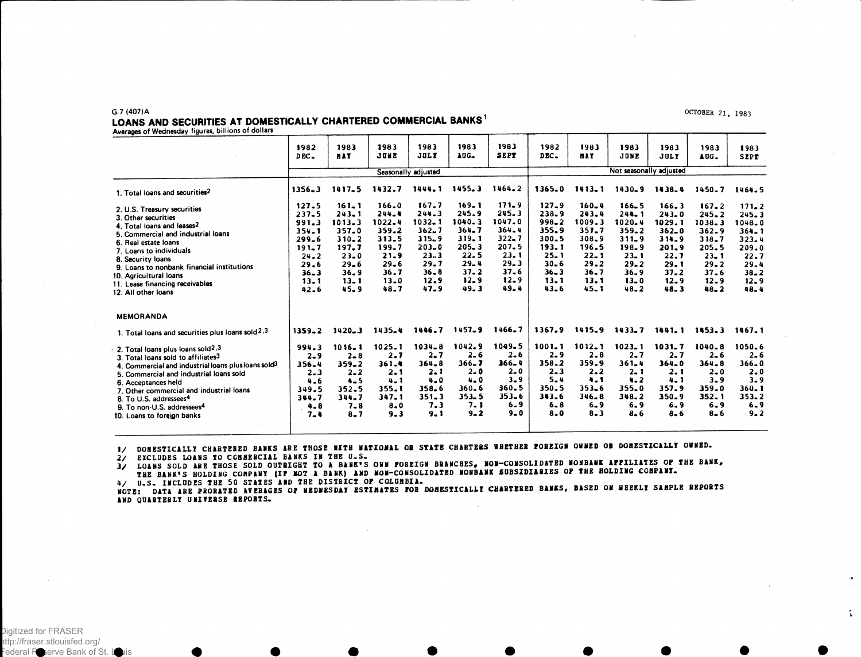**OCTOBER 21, 1983**

્ર

# LOANS AND SECURITIES AT DOMESTICALLY CHARTERED COMMERCIAL BANKS<sup>1</sup>

Averages of Wednesday figures, billions of dollars

**G.7 (407)A**

| rivaragus or wednesday ngared, summer                                                                                                                                                                                                                                                                                                                                                           | 1982<br>DEC_                                                                                               | 1983<br><b>HAY</b>                                                                                                          | 1983<br>JUNE                                                                                          | 1983<br><b>JULY</b>                                                                                     | 1983<br>AUG.                                                                                                | 1983<br><b>SEPT</b>                                                                                             | 1982<br>DEC.                                                                                                       | 1983<br><b>NAY</b>                                                                                          | 1983<br>JUNE                                                                                                            | 1983<br>JULY                                                                                                | 1983<br>AUG.                                                                                                        | 1983<br><b>SEPT</b>                                                                                     |  |  |
|-------------------------------------------------------------------------------------------------------------------------------------------------------------------------------------------------------------------------------------------------------------------------------------------------------------------------------------------------------------------------------------------------|------------------------------------------------------------------------------------------------------------|-----------------------------------------------------------------------------------------------------------------------------|-------------------------------------------------------------------------------------------------------|---------------------------------------------------------------------------------------------------------|-------------------------------------------------------------------------------------------------------------|-----------------------------------------------------------------------------------------------------------------|--------------------------------------------------------------------------------------------------------------------|-------------------------------------------------------------------------------------------------------------|-------------------------------------------------------------------------------------------------------------------------|-------------------------------------------------------------------------------------------------------------|---------------------------------------------------------------------------------------------------------------------|---------------------------------------------------------------------------------------------------------|--|--|
|                                                                                                                                                                                                                                                                                                                                                                                                 | Seasonally adjusted                                                                                        |                                                                                                                             |                                                                                                       |                                                                                                         |                                                                                                             |                                                                                                                 |                                                                                                                    | Not seasonally adjusted                                                                                     |                                                                                                                         |                                                                                                             |                                                                                                                     |                                                                                                         |  |  |
| 1. Total loans and securities <sup>2</sup>                                                                                                                                                                                                                                                                                                                                                      | $1356 - 3$                                                                                                 | 1417.5                                                                                                                      | 1432.7                                                                                                | 1444.1                                                                                                  | 1455.3                                                                                                      | 1464.2                                                                                                          | 1365.0                                                                                                             | $1413 - 1$                                                                                                  | 1430-9                                                                                                                  | 1438.4                                                                                                      | 1450.7                                                                                                              | 1464.5                                                                                                  |  |  |
| 2. U.S. Treasury securities<br>3. Other securities<br>4. Total loans and leases2<br>5. Commercial and industrial loans<br>6. Real estate loans<br>7. Loans to individuals<br>8. Security loans<br>9. Loans to nonbank financial institutions<br>10. Agricultural loans<br>11. Lease financing receivables<br>12. All other loans                                                                | 127.5<br>$237 - 5$<br>991.3<br>354.1<br>$299 - 6$<br>$191 - 7$<br>$24 - 2$<br>29.6<br>36.3<br>13.1<br>42.6 | $161 - 1$<br>$243 - 1$<br>1013.3<br>$357 - 0$<br>$310 - 2$<br>197.7<br>$23 - 0$<br>$29 - 6$<br>36.9<br>$13 - 1$<br>$45 - 9$ | 166.0<br>$244 - 4$<br>1022.4<br>359.2<br>313.5<br>199.7<br>21.9<br>$29 - 6$<br>36.7<br>$13-0$<br>48.7 | 167.7<br>$244 - 3$<br>1032.1<br>362.7<br>315.9<br>$203 - 0$<br>23.3<br>29.7<br>$36 - 8$<br>12.9<br>47.9 | 169.1<br>245.9<br>1040.3<br>$364 - 7$<br>319.1<br>$205 - 3$<br>22.5<br>$29 - 4$<br>$37 - 2$<br>12.9<br>49.3 | $171 - 9$<br>245.3<br>1047.0<br>364.4<br>$322 - 7$<br>207.5<br>$23 - 1$<br>$29 - 3$<br>37.6<br>$12 - 9$<br>49.4 | $127 - 9$<br>$238 - 9$<br>$998 - 2$<br>355.9<br>300.5<br>193.1<br>$25 - 1$<br>$30 - 6$<br>$36 - 3$<br>13.1<br>43.6 | $160 - 4$<br>$243 - 4$<br>1009.3<br>$357 - 7$<br>308.9<br>196.5<br>$22 - 1$<br>29.2<br>36.7<br>13.1<br>45.1 | $166 - 5$<br>$244 - 1$<br>1020.4<br>359.2<br>$311 - 9$<br>198.9<br>$23 - 1$<br>$29 - 2$<br>36.9<br>$13 - 0$<br>$48 - 2$ | 166.3<br>243.0<br>1029.1<br>$362 - 0$<br>$314 - 9$<br>$201 - 9$<br>22.7<br>29.1<br>$37 - 2$<br>12.9<br>48.3 | 167.2<br>$245 - 2$<br>1038.3<br>$362 - 9$<br>318.7<br>205.5<br>$23 - 1$<br>$29 - 2$<br>$37 - 6$<br>12.9<br>$48 - 2$ | 171.2<br>245.3<br>1048.0<br>$364 - 1$<br>323.4<br>209.0<br>22.7<br>29.4<br>$38 - 2$<br>$12 - 9$<br>48.4 |  |  |
| <b>MEMORANDA</b>                                                                                                                                                                                                                                                                                                                                                                                |                                                                                                            |                                                                                                                             |                                                                                                       |                                                                                                         |                                                                                                             |                                                                                                                 |                                                                                                                    |                                                                                                             |                                                                                                                         |                                                                                                             |                                                                                                                     |                                                                                                         |  |  |
| 1. Total loans and securities plus loans sold <sup>2,3</sup>                                                                                                                                                                                                                                                                                                                                    | $1359 - 2$                                                                                                 | $1420 - 3$                                                                                                                  | 1435-4                                                                                                | 1446.7                                                                                                  | 1457.9                                                                                                      | 1466.7                                                                                                          | 1367.9                                                                                                             | 1415.9                                                                                                      | $1433 - 7$                                                                                                              | 1441.1                                                                                                      | 1453.3                                                                                                              | 1467.1                                                                                                  |  |  |
| 2. Total loans plus loans sold <sup>2</sup> . <sup>3</sup><br>3. Total loans sold to affiliates3<br>4. Commercial and industrial loans plus loans sold <sup>3</sup><br>5. Commercial and industrial loans sold<br>6. Acceptances held<br>7. Other commercial and industrial loans<br>8. To U.S. addressees <sup>4</sup><br>9. To non-U.S. addressees <sup>4</sup><br>10. Loans to foreign banks | 994.3<br>$2 - 9$<br>356.4<br>$2 - 3$<br>4.6<br>349.5<br>344.7<br>$4 - 8$<br>$7 - 4$                        | $1016 - 1$<br>$2 - 8$<br>$359 - 2$<br>$2 - 2$<br>$4 - 5$<br>352.5<br>344.7<br>$7 - 8$<br>$8 - 7$                            | 1025.1<br>$2 - 7$<br>361.4<br>2.1<br>$4 - 1$<br>355.1<br>347.1<br>$8 - 0$<br>$9 - 3$                  | $1034 - 8$<br>$2 - 7$<br>$364 - 8$<br>2.1<br>4.0<br>358.6<br>$351 - 3$<br>7.3<br>9.1                    | 1042.9<br>$2 - 6$<br>366.7<br>$2 - 0$<br>$4 - 0$<br>360.6<br>$353 - 5$<br>7.1<br>$9 - 2$                    | 1049.5<br>$2 - 6$<br>366.4<br>$2 - 0$<br>$3 - 9$<br>$360 - 5$<br>$353 - 6$<br>6.9<br>$9 - 0$                    | $1001 - 1$<br>$2 - 9$<br>358.2<br>$2 - 3$<br>$5 - 4$<br>350.5<br>343.6<br>$6 - 8$<br>8.0                           | $1012 - 1$<br>$2 - 8$<br>359.9<br>$2 - 2$<br>4.1<br>$353 - 6$<br>$346 - 8$<br>$6 - 9$<br>$8 - 3$            | $1023 - 1$<br>$2 - 7$<br>$361 - 4$<br>$2 - 1$<br>$4 - 2$<br>355.0<br>348.2<br>6.9<br>$8 - 6$                            | 1031.7<br>$2 - 7$<br>$364 - 0$<br>2.1<br>$4 - 1$<br>357.9<br>350.9<br>$6 - 9$<br>$8 - 6$                    | 1040.8<br>$2 - 6$<br>$364 - 8$<br>$2 - 0$<br>$3 - 9$<br>359.0<br>$352 - 1$<br>6.9<br>$8 - 6$                        | 1050.6<br>$2 - 6$<br>$366 - 0$<br>2.0<br>$3 - 9$<br>$360 - 1$<br>353.2<br>6.9<br>$9 - 2$                |  |  |

1/ DOMESTICALLY CHARTERED BANKS ARE THOSE WITH NATIONAL OR STATE CHARTERS WHETHER FOREIGN ONNED OR DOMESTICALLY OWNED.<br>2/ EXCLUDES LOANS TO CCHMERCIAL BANKS IN THE U.S.

3/ LOANS SOLD ARE THOSE SOLD OUTRIGHT TO A BANK'S ONN FOREIGN BRANCHES, NON-CONSOLIDATED NONBANK APPILIATES OF THE BANK, THE BANK'S HOLDING COMPANY (IF NOT A BANK) AND MON-CONSOLIDATED NONBANK SUBSIDIARIES OF THE HOLDING COMPANI.

4/ U.S. INCLUDES THE 50 STATES AND THE DISTRICT OF COLUMBIA.<br>NOTE: DATA ARE PROBATED AVERAGES OF HEDNESDAY ESTIMATES FOR DOMESTICALLY CHARTERED BANKS, BASED ON HEEKLY SAMPLE REPORTS **AND QUARTERLY U HITERSE SBPOBTS.**